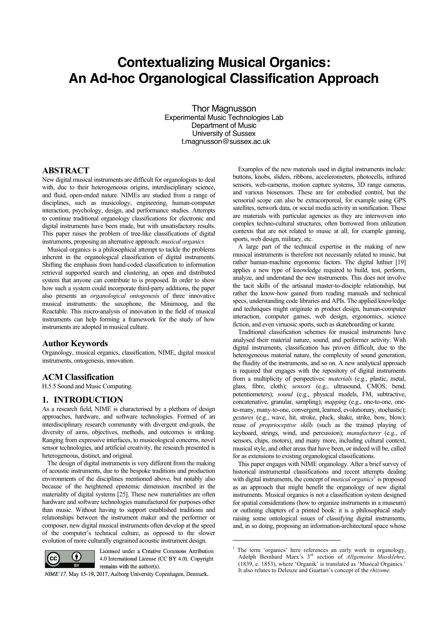# **Contextualizing Musical Organics: An Ad-hoc Organological Classification Approach**

Thor Magnusson Experimental Music Technologies Lab Department of Music University of Sussex t.magnusson@sussex.ac.uk

# **ABSTRACT**

New digital musical instruments are difficult for organologists to deal with, due to their heterogeneous origins, interdisciplinary science, and fluid, open-ended nature. NIMEs are studied from a range of disciplines, such as musicology, engineering, human-computer interaction, psychology, design, and performance studies. Attempts to continue traditional organology classifications for electronic and digital instruments have been made, but with unsatisfactory results. This paper raises the problem of tree-like classifications of digital instruments, proposing an alternative approach: *musical organics*.

Musical organics is a philosophical attempt to tackle the problems inherent in the organological classification of digital instruments. Shifting the emphasis from hand-coded classification to information retrieval supported search and clustering, an open and distributed system that anyone can contribute to is proposed. In order to show how such a system could incorporate third-party additions, the paper also presents an *organological ontogenesis* of three innovative musical instruments: the saxophone, the Minimoog, and the Reactable. This micro-analysis of innovation in the field of musical instruments can help forming a framework for the study of how instruments are adopted in musical culture.

# **Author Keywords**

Organology, musical organics, classification, NIME, digital musical instruments, ontogenesis, innovation.

## **ACM Classification**

H.5.5 Sound and Music Computing.

## **1. INTRODUCTION**

As a research field, NIME is characterised by a plethora of design approaches, hardware, and software technologies. Formed of an interdisciplinary research community with divergent end-goals, the diversity of aims, objectives, methods, and outcomes is striking. Ranging from expressive interfaces, to musicological concerns, novel sensor technologies, and artificial creativity, the research presented is heterogeneous, distinct, and original.

The design of digital instruments is very different from the making of acoustic instruments, due to the bespoke traditions and production environments of the disciplines mentioned above, but notably also because of the heightened epistemic dimension inscribed in the materiality of digital systems [25]. These new materialities are often hardware and software technologies manufactured for purposes other than music. Without having to support established traditions and relationships between the instrument maker and the performer or composer, new digital musical instruments often develop at the speed of the computer's technical culture, as opposed to the slower evolution of more culturally engrained acoustic instrument design.



Licensed under a Creative Commons Attribution 4.0 International License (CC BY 4.0). Copyright remains with the author(s).

l

NIME'17, May 15-19, 2017, Aalborg University Copenhagen, Denmark.

Examples of the new materials used in digital instruments include: buttons, knobs, sliders, ribbons, accelerometers, photocells, infrared sensors, web-cameras, motion capture systems, 3D range cameras, and various biosensors. These are for embodied control, but the sensorial scope can also be extracorporeal, for example using GPS satellites, network data, or social media activity in sonification. These are materials with particular agencies as they are interwoven into complex techno-cultural structures, often borrowed from utilization contexts that are not related to music at all, for example gaming, sports, web design, military, etc.

A large part of the technical expertise in the making of new musical instruments is therefore not necessarily related to music, but rather human-machine ergonomic factors. The digital luthier [19] applies a new type of knowledge required to build, test, perform, analyze, and understand the new instruments. This does not involve the tacit skills of the artisanal master-to-disciple relationship, but rather the know-how gained from reading manuals and technical specs, understanding code libraries and APIs. The applied knowledge and techniques might originate in product design, human-computer interaction, computer games, web design, ergonomics, science fiction, and even virtuosic sports, such as skateboarding or karate.

Traditional classification schemes for musical instruments have analysed their material nature, sound, and performer activity. With digital instruments, classification has proven difficult, due to the heterogeneous material nature, the complexity of sound generation, the fluidity of the instruments, and so on. A new analytical approach is required that engages with the repository of digital instruments from a multiplicity of perspectives: *materials* (e.g., plastic, metal, glass, fibre, cloth); *sensors* (e.g., ultrasound, CMOS, bend, potentiometers); *sound* (e.g., physical models, FM, subtractive, concatenative, granular, sampling); *mapping* (e.g., one-to-one, oneto-many, many-to-one, convergent, learned, evolutionary, stochastic); *gestures* (e.g., wave, hit, stroke, pluck, shake, strike, bow, blow); reuse of *proprioceptive skills* (such as the trained playing of keyboard, strings, wind, and percussion); *manufacturer* (e.g., of sensors, chips, motors), and many more, including cultural context, musical style, and other areas that have been, or indeed will be, called for as extensions to existing organological classifications.

This paper engages with NIME organology. After a brief survey of historical instrumental classifications and recent attempts dealing with digital instruments, the concept of *musical organics*<sup>1</sup> is proposed as an approach that might benefit the organology of new digital instruments. Musical organics is not a classification system designed for spatial considerations (how to organize instruments in a museum) or outlining chapters of a printed book: it is a philosophical study raising some ontological issues of classifying digital instruments, and, in so doing, proposing an information-architectural space whose

<sup>&</sup>lt;sup>1</sup> The term 'organics' here references an early work in organology, Adolph Bernhard Marx's 3rd section of *Allgemeine Musiklehre*, (1839, e. 1853), where 'Organik' is translated as 'Musical Organics.' It also relates to Deleuze and Guattari's concept of the *rhizome*.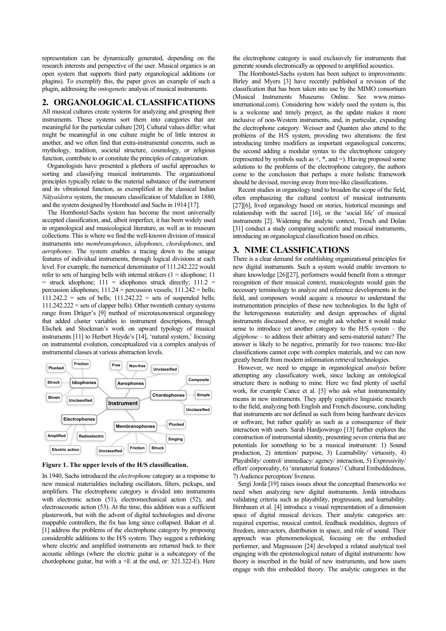representation can be dynamically generated, depending on the research interests and perspective of the user. Musical organics is an open system that supports third party organological additions (or plugins). To exemplify this, the paper gives an example of such a plugin, addressing the *ontogenetic* analysis of musical instruments.

## **2. ORGANOLOGICAL CLASSIFICATIONS**

All musical cultures create systems for analyzing and grouping their instruments. These systems sort them into categories that are meaningful for the particular culture [20]. Cultural values differ: what might be meaningful in one culture might be of little interest in another, and we often find that extra-instrumental concerns, such as mythology, tradition, societal structure, cosmology, or religious function, contribute to or constitute the principles of categorization.

Organologists have presented a plethora of useful approaches to sorting and classifying musical instruments. The organizational principles typically relate to the material substance of the instrument and its vibrational function, as exemplified in the classical Indian *Nāṭyaśāstra* system, the museum classification of Mahillon in 1880, and the system designed by Hornbostel and Sachs in 1914 [17].

The Hornbostel-Sachs system has become the most universally accepted classification, and, albeit imperfect, it has been widely used in organological and musicological literature, as well as in museum collections. This is where we find the well-known division of musical instruments into *membranophones*, *idiophones*, *chordophones*, and *aerophones*. The system enables a tracing down to the unique features of individual instruments, through logical divisions at each level. For example, the numerical denominator of 111.242.222 would refer to sets of hanging bells with internal strikers  $(1 = idiophone; 11)$  $=$  struck idiophone; 111  $=$  idiophones struck directly; 111.2  $=$ percussion idiophones; 111.24 = percussion vessels; 111.242 = bells;  $111.242.2$  = sets of bells;  $111.242.22$  = sets of suspended bells; 111.242.222 = sets of clapper bells). Other twentieth century systems range from Dräger's [9] method of microtaxonomical organology that added cluster variables to instrument descriptions, through Elschek and Stockman's work on upward typology of musical instruments [11] to Herbert Heyde's [14], 'natural system,' focusing on instrumental evolution, conceptualized via a complex analysis of instrumental classes at various abstraction levels.



**Figure 1. The upper levels of the H/S classification.**

In 1940, Sachs introduced the *electrophone* category as a response to new musical materialities including oscillators, filters, pickups, and amplifiers. The electrophone category is divided into instruments with electronic action (51), electromechanical action (52), and electroacoustic action (53). At the time, this addition was a sufficient plasterwork, but with the advent of digital technologies and diverse mappable controllers, the fix has long since collapsed. Bakan et al. [1] address the problems of the electrophone category by proposing considerable additions to the H/S system. They suggest a rethinking where electric and amplified instruments are returned back to their acoustic siblings (where the electric guitar is a subcategory of the chordophone guitar, but with a +E at the end, or: 321.322-E). Here

the electrophone category is used exclusively for instruments that generate sounds electronically as opposed to amplified acoustics.

The Hornbostel-Sachs system has been subject to improvements: Birley and Myers [3] have recently published a revision of the classification that has been taken into use by the MIMO consortium (Musical Instruments Museums Online. See www.mimointernational.com). Considering how widely used the system is, this is a welcome and timely project, as the update makes it more inclusive of non-Western instruments, and, in particular, expanding the electrophone category. Weisser and Quanten also attend to the problems of the H/S system, providing two alterations: the first introducing timbre modifiers as important organological concerns; the second adding a modular syntax to the electrophone category (represented by symbols such as +, \*, and =). Having proposed some solutions to the problems of the electrophone category, the authors come to the conclusion that perhaps a more holistic framework should be devised, moving away from tree-like classifications.

Recent studies in organology tend to broaden the scope of the field, often emphasizing the cultural context of musical instruments [27][6], lived organology based on stories, historical meanings and relationship with the sacred [16], or the 'social life' of musical instruments [2]. Widening the analytic context, Tresch and Dolan [31] conduct a study comparing scientific and musical instruments, introducing an organological classification based on ethics.

#### **3. NIME CLASSIFICATIONS**

There is a clear demand for establishing organizational principles for new digital instruments. Such a system would enable inventors to share knowledge [26][27], performers would benefit from a stronger recognition of their musical context, musicologists would gain the necessary terminology to analyze and reference developments in the field, and composers would acquire a resource to understand the instrumentation principles of these new technologies. In the light of the heterogeneous materiality and design approaches of digital instruments discussed above, we might ask whether it would make sense to introduce yet another category to the H/S system – the *digiphone –* to address their arbitrary and semi-material nature? The answer is likely to be negative, primarily for two reasons: tree-like classifications cannot cope with complex materials, and we can now greatly benefit from modern information retrieval technologies.

However, we need to engage in organological *analysis* before attempting any classificatory work, since lacking an ontological structure there is nothing to mine. Here we find plenty of useful work, for example Cance et al. [5] who ask what instrumentality means in new instruments. They apply cognitive linguistic research to the field, analyzing both English and French discourse, concluding that instruments are not defined as such from being hardware devices or software, but rather qualify as such as a consequence of their interaction with users. Sarah Hardjowirogo [13] further explores the construction of instrumental identity, presenting seven criteria that are potentials for something to be a musical instrument: 1) Sound production, 2) intention/ purpose, 3) Learnability/ virtuosity, 4) Playability/ control/ immediacy/ agency/ interaction, 5) Expressivity/ effort/ corporeality, 6) 'immaterial features'/ Cultural Embeddedness, 7) Audience perception/ liveness.

Sergi Jordà [19] raises issues about the conceptual frameworks we need when analyzing new digital instruments. Jordà introduces validating criteria such as playability, progression, and learnability. Birnbaum et al. [4] introduce a visual representation of a dimension space of digital musical devices. Their analytic categories are: required expertise, musical control, feedback modalities, degrees of freedom, inter-actors, distribution in space, and role of sound. Their approach was phenomenological, focusing on the embodied performer, and Magnusson [24] developed a related analytical tool engaging with the epistemological nature of digital instruments: how theory is inscribed in the build of new instruments, and how users engage with this embedded theory. The analytic categories in the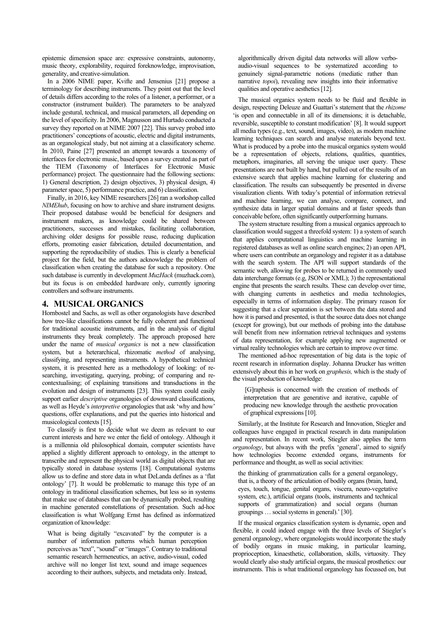epistemic dimension space are: expressive constraints, autonomy, music theory, explorability, required foreknowledge, improvisation, generality, and creative-simulation.

In a 2006 NIME paper, Kvifte and Jensenius [21] propose a terminology for describing instruments. They point out that the level of details differs according to the roles of a listener, a performer, or a constructor (instrument builder). The parameters to be analyzed include gestural, technical, and musical parameters, all depending on the level of specificity. In 2006, Magnusson and Hurtado conducted a survey they reported on at NIME 2007 [22]. This survey probed into practitioners' conceptions of acoustic, electric and digital instruments, as an organological study, but not aiming at a classificatory scheme. In 2010, Paine [27] presented an attempt towards a taxonomy of interfaces for electronic music, based upon a survey created as part of the TIEM (Taxonomy of Interfaces for Electronic Music performance) project. The questionnaire had the following sections: 1) General description, 2) design objectives, 3) physical design, 4) parameter space, 5) performance practice, and 6) classification.

Finally, in 2016, key NIME researchers [26] ran a workshop called *NIMEhub*, focusing on how to archive and share instrument designs. Their proposed database would be beneficial for designers and instrument makers, as knowledge could be shared between practitioners, successes and mistakes, facilitating collaboration, archiving older designs for possible reuse, reducing duplication efforts, promoting easier fabrication, detailed documentation, and supporting the reproducibility of studies. This is clearly a beneficial project for the field, but the authors acknowledge the problem of classification when creating the database for such a repository. One such database is currently in development *MuzHack* (muzhack.com), but its focus is on embedded hardware only, currently ignoring controllers and software instruments.

#### **4. MUSICAL ORGANICS**

Hornbostel and Sachs, as well as other organologists have described how tree-like classifications cannot be fully coherent and functional for traditional acoustic instruments, and in the analysis of digital instruments they break completely. The approach proposed here under the name of *musical organics* is not a new classification system, but a heterarchical, rhizomatic *method* of analysing, classifying, and representing instruments. A hypothetical technical system, it is presented here as a methodology of looking: of researching, investigating, querying, probing; of comparing and recontextualising; of explaining transitions and transductions in the evolution and design of instruments [23]. This system could easily support earlier *descriptive* organologies of downward classifications, as well as Heyde's *interpretive* organologies that ask 'why and how' questions, offer explanations, and put the queries into historical and musicological contexts [15].

To classify is first to decide what we deem as relevant to our current interests and here we enter the field of ontology. Although it is a millennia old philosophical domain, computer scientists have applied a slightly different approach to ontology, in the attempt to transcribe and represent the physical world as digital objects that are typically stored in database systems [18]. Computational systems allow us to define and store data in what DeLanda defines as a 'flat ontology' [7]. It would be problematic to manage this type of an ontology in traditional classification schemes, but less so in systems that make use of databases that can be dynamically probed, resulting in machine generated constellations of presentation. Such ad-hoc classification is what Wolfgang Ernst has defined as informatized organization of knowledge:

What is being digitally "excavated" by the computer is a number of information patterns which human perception perceives as "text", "sound" or "images". Contrary to traditional semantic research hermeneutics, an active, audio-visual, coded archive will no longer list text, sound and image sequences according to their authors, subjects, and metadata only. Instead,

algorithmically driven digital data networks will allow verboaudio-visual sequences to be systematized according to genuinely signal-parametric notions (mediatic rather than narrative *topoi*), revealing new insights into their informative qualities and operative aesthetics [12].

The musical organics system needs to be fluid and flexible in design, respecting Deleuze and Guattari's statement that the *rhizome* 'is open and connectable in all of its dimensions; it is detachable, reversible, susceptible to constant modification' [8]. It would support all media types (e.g., text, sound, images, video), as modern machine learning techniques can search and analyse materials beyond text. What is produced by a probe into the musical organics system would be a representation of objects, relations, qualities, quantities, metaphors, imaginaries, all serving the unique user query. These presentations are not built by hand, but pulled out of the results of an extensive search that applies machine learning for clustering and classification. The results can subsequently be presented in diverse visualization clients. With today's potential of information retrieval and machine learning, we can analyse, compare, connect, and synthesize data in larger spatial domains and at faster speeds than conceivable before, often significantly outperforming humans.

The system structure resulting from a musical organics approach to classification would suggest a threefold system: 1) a system of search that applies computational linguistics and machine learning in registered databases as well as online search engines; 2) an open API, where users can contribute an organology and register it as a database with the search system. The API will support standards of the semantic web, allowing for probes to be returned in commonly used data interchange formats (e.g, JSON or XML); 3) the representational engine that presents the search results. These can develop over time, with changing currents in aesthetics and media technologies, especially in terms of information display. The primary reason for suggesting that a clear separation is set between the data stored and how it is parsed and presented, is that the source data does not change (except for growing), but our methods of probing into the database will benefit from new information retrieval techniques and systems of data representation, for example applying new augmented or virtual reality technologies which are certain to improve over time.

The mentioned ad-hoc representation of big data is the topic of recent research in information display. Johanna Drucker has written extensively about this in her work on *graphesis,* which is the study of the visual production of knowledge:

[G]raphesis is concerned with the creation of methods of interpretation that are generative and iterative, capable of producing new knowledge through the aesthetic provocation of graphical expressions[10].

Similarly, at the Institute for Research and Innovation, Stiegler and colleagues have engaged in practical research in data manipulation and representation. In recent work, Stiegler also applies the term *organology*, but always with the prefix 'general', aimed to signify how technologies become extended organs, instruments for performance and thought, as well as social activities:

the thinking of grammatization calls for a general organology, that is, a theory of the articulation of bodily organs (brain, hand, eyes, touch, tongue, genital organs, viscera, neuro-vegetative system, etc.), artificial organs (tools, instruments and technical supports of grammatization) and social organs (human groupings … social systems in general).' [30].

If the musical organics classification system is dynamic, open and flexible, it could indeed engage with the three levels of Stiegler's general organology, where organologists would incorporate the study of bodily organs in music making, in particular learning, proprioception, kinaesthetic, collaboration, skills, virtuosity. They would clearly also study artificial organs, the musical prosthetics: our instruments. This is what traditional organology has focussed on, but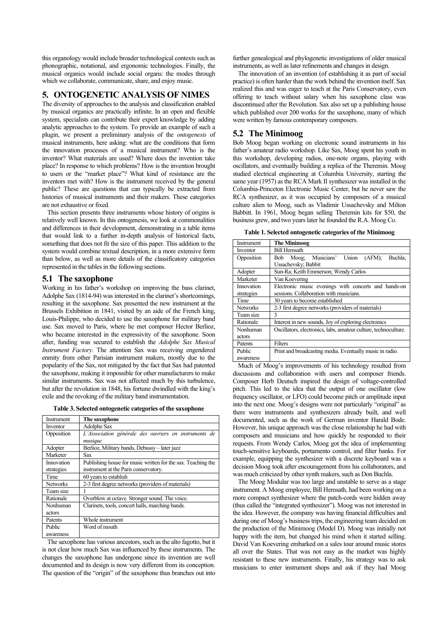this organology would include broader technological contexts such as phonographic, notational, and ergonomic technologies. Finally, the musical organics would include social organs: the modes through which we collaborate, communicate, share, and enjoy music.

#### **5. ONTOGENETIC ANALYSIS OF NIMES**

The diversity of approaches to the analysis and classification enabled by musical organics are practically infinite. In an open and flexible system, specialists can contribute their expert knowledge by adding analytic approaches to the system. To provide an example of such a plugin, we present a preliminary analysis of the *ontogenesis* of musical instruments, here asking: what are the conditions that form the innovation processes of a musical instrument? Who is the inventor? What materials are used? Where does the invention take place? In response to which problems? How is the invention brought to users or the "market place"? What kind of resistance are the inventors met with? How is the instrument received by the general public? These are questions that can typically be extracted from histories of musical instruments and their makers. These categories are not exhaustive or fixed.

This section presents three instruments whose history of origins is relatively well known. In this ontogenesis, we look at commonalities and differences in their development, demonstrating in a table items that would link to a further in-depth analysis of historical facts, something that does not fit the size of this paper. This addition to the system would combine textual description, in a more extensive form than below, as well as more details of the classificatory categories represented in the tables in the following sections.

#### **5.1 The saxophone**

Working in his father's workshop on improving the bass clarinet, Adolphe Sax (1814-94) was interested in the clarinet's shortcomings, resulting in the saxophone. Sax presented the new instrument at the Brussels Exhibition in 1841, visited by an aide of the French king, Louis-Philippe, who decided to use the saxophone for military band use. Sax moved to Paris, where he met composer Hector Berlioz, who became interested in the expressivity of the saxophone. Soon after, funding was secured to establish the *Adolphe Sax Musical Instrument Factory*. The attention Sax was receiving engendered enmity from other Parisian instrument makers, mostly due to the popularity of the Sax, not mitigated by the fact that Sax had patented the saxophone, making it impossible for other manufacturers to make similar instruments. Sax was not affected much by this turbulence, but after the revolution in 1848, his fortune dwindled with the king's exile and the revoking of the military band instrumentation.

**Table 3. Selected ontogenetic categories of the saxophone**

| Instrument               | The saxophone                                                                                         |
|--------------------------|-------------------------------------------------------------------------------------------------------|
| Inventor                 | Adolphe Sax                                                                                           |
| Opposition               | L'Association générale des ouvriers en instruments de<br>musique                                      |
| Adopter                  | Berlioz, Military bands, Debussy – later jazz                                                         |
| Marketer                 | Sax                                                                                                   |
| Innovation<br>strategies | Publishing house for music written for the sax. Teaching the<br>instrument at the Paris conservatory. |
| Time                     | 60 years to establish                                                                                 |
| <b>Networks</b>          | 2-3 first degree networks (providers of materials)                                                    |
| Team size                |                                                                                                       |
| Rationale                | Overblow at octave. Stronger sound. The voice.                                                        |
| Nonhuman<br>actors       | Clarinets, tools, concert halls, marching bands.                                                      |
| Patents                  | Whole instrument                                                                                      |
| Public<br>awareness      | Word of mouth                                                                                         |

The saxophone has various ancestors, such as the alto fagotto, but it is not clear how much Sax was influenced by these instruments. The changes the saxophone has undergone since its invention are well documented and its design is now very different from its conception. The question of the "origin" of the saxophone thus branches out into

further genealogical and phylogenetic investigations of older musical instruments, as well as later refinements and changes in design.

The innovation of an invention (of establishing it as part of social practice) is often harder than the work behind the invention itself. Sax realized this and was eager to teach at the Paris Conservatory, even offering to teach without salary when his saxophone class was discontinued after the Revolution. Sax also set up a publishing house which published over 200 works for the saxophone, many of which were written by famous contemporary composers.

#### **5.2 The Minimoog**

Bob Moog began working on electronic sound instruments in his father's amateur radio workshop. Like Sax, Moog spent his youth in this workshop, developing radios, one-note organs, playing with oscillators, and eventually building a replica of the Theremin. Moog studied electrical engineering at Columbia University, starting the same year (1957) as the RCA Mark II synthesizer was installed in the Columbia-Princeton Electronic Music Center, but he never saw the RCA synthesizer, as it was occupied by composers of a musical culture alien to Moog, such as Vladimir Ussachevsky and Milton Babbitt. In 1961, Moog began selling Theremin kits for \$50, the business grew, and two years later he founded the R.A. Moog Co.

**Table 1. Selected ontogenetic categories of the Minimoog**

| Instrument      | The Minimoog                                                    |
|-----------------|-----------------------------------------------------------------|
| Inventor        | <b>Bill Hemsath</b>                                             |
| Opposition      | Musicians' Union<br>(AFM):<br>Buchla:<br>Bob Moog;              |
|                 | Ussachevsky; Babbit                                             |
| Adopter         | Sun-Ra; Keith Emmerson; Wendy Carlos                            |
| Marketer        | Van Koevering                                                   |
| Innovation      | Electronic music evenings with concerts and hands-on            |
| strategies      | sessions. Collaboration with musicians.                         |
| Time            | 30 years to become established                                  |
| <b>Networks</b> | 2-3 first degree networks (providers of materials)              |
| Team size       | 3                                                               |
| Rationale       | Interest in new sounds, Joy of exploring electronics            |
| Nonhuman        | Oscillators, electronics, labs, amateur culture, technoculture. |
| actors          |                                                                 |
| Patents         | Filters                                                         |
| Public          | Print and broadcasting media. Eventually music in radio.        |
| awareness       |                                                                 |

Much of Moog's improvements of his technology resulted from discussions and collaboration with users and composer friends. Composer Herb Deutsch inspired the design of voltage-controlled pitch. This led to the idea that the output of one oscillator (low frequency oscillator, or LFO) could become pitch or amplitude input into the next one. Moog's designs were not particularly "original" as there were instruments and synthesizers already built, and well documented, such as the work of German inventor Harald Bode. However, his unique approach was the close relationship he had with composers and musicians and how quickly he responded to their requests. From Wendy Carlos, Moog got the idea of implementing touch-sensitive keyboards, portamento control, and filter banks. For example, equipping the synthesizer with a discrete keyboard was a decision Moog took after encouragement from his collaborators, and was much criticized by other synth makers, such as Don Buchla.

The Moog Modular was too large and unstable to serve as a stage instrument. A Moog employee, Bill Hemsath, had been working on a more compact synthesizer where the patch-cords were hidden away (thus called the "integrated synthesizer"). Moog was not interested in the idea. However, the company was having financial difficulties and during one of Moog's business trips, the engineering team decided on the production of the Minimoog (Model D). Moog was initially not happy with the item, but changed his mind when it started selling. David Van Koevering embarked on a sales tour around music stores all over the States. That was not easy as the market was highly resistant to these new instruments. Finally, his strategy was to ask musicians to enter instrument shops and ask if they had Moog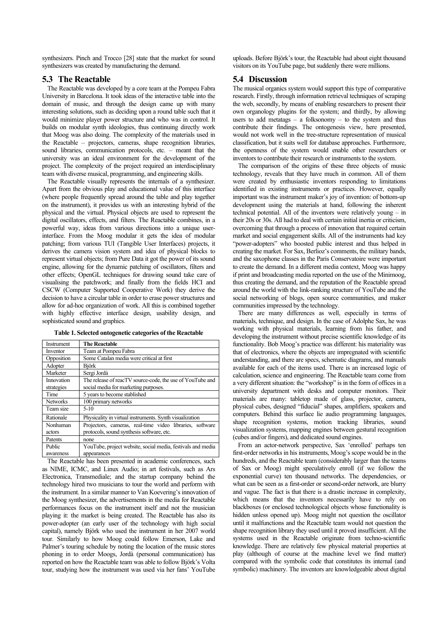synthesizers. Pinch and Trocco [28] state that the market for sound synthesizers was created by manufacturing the demand.

#### **5.3 The Reactable**

The Reactable was developed by a core team at the Pompeu Fabra University in Barcelona. It took ideas of the interactive table into the domain of music, and through the design came up with many interesting solutions, such as deciding upon a round table such that it would minimize player power structure and who was in control. It builds on modular synth ideologies, thus continuing directly work that Moog was also doing. The complexity of the materials used in the Reactable – projectors, cameras, shape recognition libraries, sound libraries, communication protocols, etc. – meant that the university was an ideal environment for the development of the project. The complexity of the project required an interdisciplinary team with diverse musical, programming, and engineering skills.

The Reactable visually represents the internals of a synthesizer. Apart from the obvious play and educational value of this interface (where people frequently spread around the table and play together on the instrument), it provides us with an interesting hybrid of the physical and the virtual. Physical objects are used to represent the digital oscillators, effects, and filters. The Reactable combines, in a powerful way, ideas from various directions into a unique userinterface. From the Moog modular it gets the idea of modular patching; from various TUI (Tangible User Interfaces) projects, it derives the camera vision system and idea of physical blocks to represent virtual objects; from Pure Data it got the power of its sound engine, allowing for the dynamic patching of oscillators, filters and other effects; OpenGL techniques for drawing sound take care of visualising the patchwork; and finally from the fields HCI and CSCW (Computer Supported Cooperative Work) they derive the decision to have a circular table in order to erase power structures and allow for ad-hoc organization of work. All this is combined together with highly effective interface design, usability design, and sophisticated sound and graphics.

**Table 1. Selected ontogenetic categories of the Reactable**

| <b>Instrument</b> | <b>The Reactable</b>                                        |
|-------------------|-------------------------------------------------------------|
| Inventor          | Team at Pompeu Fabra                                        |
| Opposition        | Some Catalan media were critical at first                   |
| Adopter           | <b>Björk</b>                                                |
| Marketer          | Sergi Jordà                                                 |
| Innovation        | The release of reacTV source-code, the use of YouTube and   |
| strategies        | social media for marketing purposes.                        |
| Time              | 5 years to become stablished                                |
| <b>Networks</b>   | 100 primary networks                                        |
| Team size         | $5-10$                                                      |
| Rationale         | Physicality in virtual instruments. Synth visualization     |
| Nonhuman          | Projectors, cameras, real-time video libraries, software    |
| actors            | protocols, sound synthesis software, etc.                   |
| Patents           | none                                                        |
| Public            | YouTube, project website, social media, festivals and media |
| awareness         | appearances                                                 |

The Reactable has been presented in academic conferences, such as NIME, ICMC, and Linux Audio; in art festivals, such as Ars Electronica, Transmediale; and the startup company behind the technology hired two musicians to tour the world and perform with the instrument. In a similar manner to Van Koevering's innovation of the Moog synthesizer, the advertisements in the media for Reactable performances focus on the instrument itself and not the musician playing it: the market is being created. The Reactable has also its power-adopter (an early user of the technology with high social capital), namely Björk who used the instrument in her 2007 world tour. Similarly to how Moog could follow Emerson, Lake and Palmer's touring schedule by noting the location of the music stores phoning in to order Moogs, Jordà (personal communication) has reported on how the Reactable team was able to follow Björk's Volta tour, studying how the instrument was used via her fans' YouTube

uploads. Before Björk's tour, the Reactable had about eight thousand visitors on its YouTube page, but suddenly there were millions.

#### **5.4 Discussion**

The musical organics system would support this type of comparative research. Firstly, through information retrieval techniques of scraping the web, secondly, by means of enabling researchers to present their own organology plugins for the system; and thirdly, by allowing users to add metatags  $-$  a folksonomy  $-$  to the system and thus contribute their findings. The ontogenesis view, here presented, would not work well in the tree-structure representation of musical classification, but it suits well for database approaches. Furthermore, the openness of the system would enable other researchers or inventors to contribute their research or instruments to the system.

The comparison of the origins of these three objects of music technology, reveals that they have much in common. All of them were created by enthusiastic inventors responding to limitations identified in existing instruments or practices. However, equally important was the instrument maker's joy of invention: of bottom-up development using the materials at hand, following the inherent technical potential. All of the inventors were relatively young – in their 20s or 30s. All had to deal with certain initial inertia or criticism, overcoming that through a process of innovation that required certain market and social engagement skills. All of the instruments had key "power-adopters" who boosted public interest and thus helped in creating the market. For Sax, Berlioz's comments, the military bands, and the saxophone classes in the Paris Conservatoire were important to create the demand. In a different media context, Moog was happy if print and broadcasting media reported on the use of the Minimoog, thus creating the demand, and the reputation of the Reactable spread around the world with the link-ranking structure of YouTube and the social networking of blogs, open source communities, and maker communities impressed by the technology.

There are many differences as well, especially in terms of materials, technique, and design. In the case of Adolphe Sax, he was working with physical materials, learning from his father, and developing the instrument without precise scientific knowledge of its functionality. Bob Moog's practice was different: his materiality was that of electronics, where the objects are impregnated with scientific understanding, and there are specs, schematic diagrams, and manuals available for each of the items used. There is an increased logic of calculation, science and engineering. The Reactable team come from a very different situation: the "workshop" is in the form of offices in a university department with desks and computer monitors. Their materials are many: tabletop made of glass, projector, camera, physical cubes, designed "fiducial" shapes, amplifiers, speakers and computers. Behind this surface lie audio programming languages, shape recognition systems, motion tracking libraries, sound visualization systems, mapping engines between gestural recognition (cubes and/or fingers), and dedicated sound engines.

From an actor-network perspective, Sax 'enrolled' perhaps ten first-order networks in his instruments, Moog's scope would be in the hundreds, and the Reactable team (considerably larger than the teams of Sax or Moog) might speculatively enroll (if we follow the exponential curve) ten thousand networks. The dependencies, or what can be seen as a first-order or second-order network, are blurry and vague. The fact is that there is a drastic increase in complexity, which means that the inventors necessarily have to rely on blackboxes (or enclosed technological objects whose functionality is hidden unless opened up). Moog might not question the oscillator until it malfunctions and the Reactable team would not question the shape recognition library they used until it proved insufficient. All the systems used in the Reactable originate from techno-scientific knowledge. There are relatively few physical material properties at play (although of course at the machine level we find matter) compared with the symbolic code that constitutes its internal (and symbolic) machinery. The inventors are knowledgeable about digital